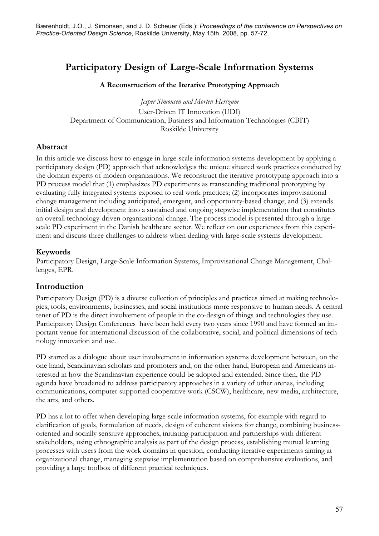# **Participatory Design of Large-Scale Information Systems**

#### **A Reconstruction of the Iterative Prototyping Approach**

*Jesper Simonsen and Morten Hertzum* User-Driven IT Innovation (UDI) Department of Communication, Business and Information Technologies (CBIT) Roskilde University

## **Abstract**

In this article we discuss how to engage in large-scale information systems development by applying a participatory design (PD) approach that acknowledges the unique situated work practices conducted by the domain experts of modern organizations. We reconstruct the iterative prototyping approach into a PD process model that (1) emphasizes PD experiments as transcending traditional prototyping by evaluating fully integrated systems exposed to real work practices; (2) incorporates improvisational change management including anticipated, emergent, and opportunity-based change; and (3) extends initial design and development into a sustained and ongoing stepwise implementation that constitutes an overall technology-driven organizational change. The process model is presented through a largescale PD experiment in the Danish healthcare sector. We reflect on our experiences from this experiment and discuss three challenges to address when dealing with large-scale systems development.

## **Keywords**

Participatory Design, Large-Scale Information Systems, Improvisational Change Management, Challenges, EPR.

## **Introduction**

Participatory Design (PD) is a diverse collection of principles and practices aimed at making technologies, tools, environments, businesses, and social institutions more responsive to human needs. A central tenet of PD is the direct involvement of people in the co-design of things and technologies they use. Participatory Design Conferences have been held every two years since 1990 and have formed an important venue for international discussion of the collaborative, social, and political dimensions of technology innovation and use.

PD started as a dialogue about user involvement in information systems development between, on the one hand, Scandinavian scholars and promoters and, on the other hand, European and Americans interested in how the Scandinavian experience could be adopted and extended. Since then, the PD agenda have broadened to address participatory approaches in a variety of other arenas, including communications, computer supported cooperative work (CSCW), healthcare, new media, architecture, the arts, and others.

PD has a lot to offer when developing large-scale information systems, for example with regard to clarification of goals, formulation of needs, design of coherent visions for change, combining businessoriented and socially sensitive approaches, initiating participation and partnerships with different stakeholders, using ethnographic analysis as part of the design process, establishing mutual learning processes with users from the work domains in question, conducting iterative experiments aiming at organizational change, managing stepwise implementation based on comprehensive evaluations, and providing a large toolbox of different practical techniques.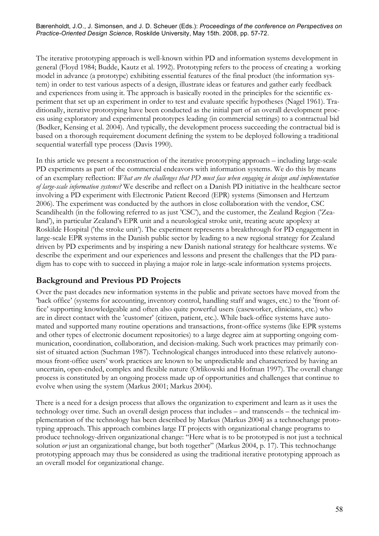The iterative prototyping approach is well-known within PD and information systems development in general (Floyd 1984; Budde, Kautz et al. 1992). Prototyping refers to the process of creating a working model in advance (a prototype) exhibiting essential features of the final product (the information system) in order to test various aspects of a design, illustrate ideas or features and gather early feedback and experiences from using it. The approach is basically rooted in the principles for the scientific experiment that set up an experiment in order to test and evaluate specific hypotheses (Nagel 1961). Traditionally, iterative prototyping have been conducted as the initial part of an overall development process using exploratory and experimental prototypes leading (in commercial settings) to a contractual bid (Bødker, Kensing et al. 2004). And typically, the development process succeeding the contractual bid is based on a thorough requirement document defining the system to be deployed following a traditional sequential waterfall type process (Davis 1990).

In this article we present a reconstruction of the iterative prototyping approach – including large-scale PD experiments as part of the commercial endeavors with information systems. We do this by means of an exemplary reflection: *What are the challenges that PD must face when engaging in design and implementation of large-scale information systems?* We describe and reflect on a Danish PD initiative in the healthcare sector involving a PD experiment with Electronic Patient Record (EPR) systems (Simonsen and Hertzum 2006). The experiment was conducted by the authors in close collaboration with the vendor, CSC Scandihealth (in the following referred to as just 'CSC'), and the customer, the Zealand Region ('Zealand'), in particular Zealand's EPR unit and a neurological stroke unit, treating acute apoplexy at Roskilde Hospital ('the stroke unit'). The experiment represents a breakthrough for PD engagement in large-scale EPR systems in the Danish public sector by leading to a new regional strategy for Zealand driven by PD experiments and by inspiring a new Danish national strategy for healthcare systems. We describe the experiment and our experiences and lessons and present the challenges that the PD paradigm has to cope with to succeed in playing a major role in large-scale information systems projects.

## **Background and Previous PD Projects**

Over the past decades new information systems in the public and private sectors have moved from the 'back office' (systems for accounting, inventory control, handling staff and wages, etc.) to the 'front office' supporting knowledgeable and often also quite powerful users (caseworker, clinicians, etc.) who are in direct contact with the 'customer' (citizen, patient, etc.). While back-office systems have automated and supported many routine operations and transactions, front-office systems (like EPR systems and other types of electronic document repositories) to a large degree aim at supporting ongoing communication, coordination, collaboration, and decision-making. Such work practices may primarily consist of situated action (Suchman 1987). Technological changes introduced into these relatively autonomous front-office users' work practices are known to be unpredictable and characterized by having an uncertain, open-ended, complex and flexible nature (Orlikowski and Hofman 1997). The overall change process is constituted by an ongoing process made up of opportunities and challenges that continue to evolve when using the system (Markus 2001; Markus 2004).

There is a need for a design process that allows the organization to experiment and learn as it uses the technology over time. Such an overall design process that includes – and transcends – the technical implementation of the technology has been described by Markus (Markus 2004) as a technochange prototyping approach. This approach combines large IT projects with organizational change programs to produce technology-driven organizational change: "Here what is to be prototyped is not just a technical solution *or* just an organizational change, but both together" (Markus 2004, p. 17). This technochange prototyping approach may thus be considered as using the traditional iterative prototyping approach as an overall model for organizational change.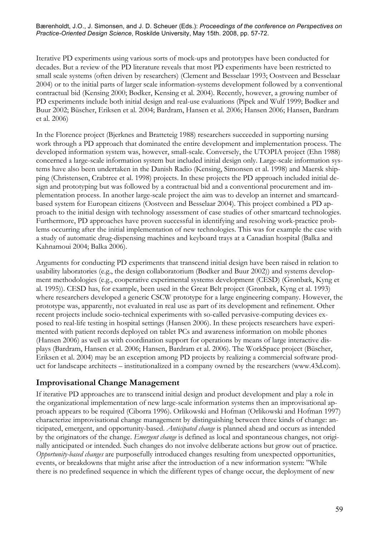Iterative PD experiments using various sorts of mock-ups and prototypes have been conducted for decades. But a review of the PD literature reveals that most PD experiments have been restricted to small scale systems (often driven by researchers) (Clement and Besselaar 1993; Oostveen and Besselaar 2004) or to the initial parts of larger scale information-systems development followed by a conventional contractual bid (Kensing 2000; Bødker, Kensing et al. 2004). Recently, however, a growing number of PD experiments include both initial design and real-use evaluations (Pipek and Wulf 1999; Bødker and Buur 2002; Büscher, Eriksen et al. 2004; Bardram, Hansen et al. 2006; Hansen 2006; Hansen, Bardram et al. 2006)

In the Florence project (Bjerknes and Bratteteig 1988) researchers succeeded in supporting nursing work through a PD approach that dominated the entire development and implementation process. The developed information system was, however, small-scale. Conversely, the UTOPIA project (Ehn 1988) concerned a large-scale information system but included initial design only. Large-scale information systems have also been undertaken in the Danish Radio (Kensing, Simonsen et al. 1998) and Maersk shipping (Christensen, Crabtree et al. 1998) projects. In these projects the PD approach included initial design and prototyping but was followed by a contractual bid and a conventional procurement and implementation process. In another large-scale project the aim was to develop an internet and smartcardbased system for European citizens (Oostveen and Besselaar 2004). This project combined a PD approach to the initial design with technology assessment of case studies of other smartcard technologies. Furthermore, PD approaches have proven successful in identifying and resolving work-practice problems occurring after the initial implementation of new technologies. This was for example the case with a study of automatic drug-dispensing machines and keyboard trays at a Canadian hospital (Balka and Kahnamoui 2004; Balka 2006).

Arguments for conducting PD experiments that transcend initial design have been raised in relation to usability laboratories (e.g., the design collaboratorium (Bødker and Buur 2002)) and systems development methodologies (e.g., cooperative experimental systems development (CESD) (Grønbæk, Kyng et al. 1995)). CESD has, for example, been used in the Great Belt project (Grønbæk, Kyng et al. 1993) where researchers developed a generic CSCW prototype for a large engineering company. However, the prototype was, apparently, not evaluated in real use as part of its development and refinement. Other recent projects include socio-technical experiments with so-called pervasive-computing devices exposed to real-life testing in hospital settings (Hansen 2006). In these projects researchers have experimented with patient records deployed on tablet PCs and awareness information on mobile phones (Hansen 2006) as well as with coordination support for operations by means of large interactive displays (Bardram, Hansen et al. 2006; Hansen, Bardram et al. 2006). The WorkSpace project (Büscher, Eriksen et al. 2004) may be an exception among PD projects by realizing a commercial software product for landscape architects – institutionalized in a company owned by the researchers (www.43d.com).

## **Improvisational Change Management**

If iterative PD approaches are to transcend initial design and product development and play a role in the organizational implementation of new large-scale information systems then an improvisational approach appears to be required (Ciborra 1996). Orlikowski and Hofman (Orlikowski and Hofman 1997) characterize improvisational change management by distinguishing between three kinds of change: anticipated, emergent, and opportunity-based. *Anticipated change* is planned ahead and occurs as intended by the originators of the change. *Emergent change* is defined as local and spontaneous changes, not originally anticipated or intended. Such changes do not involve deliberate actions but grow out of practice. *Opportunity-based changes* are purposefully introduced changes resulting from unexpected opportunities, events, or breakdowns that might arise after the introduction of a new information system: "While there is no predefined sequence in which the different types of change occur, the deployment of new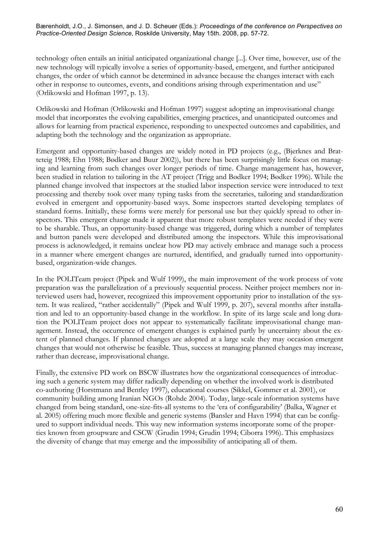technology often entails an initial anticipated organizational change [...]. Over time, however, use of the new technology will typically involve a series of opportunity-based, emergent, and further anticipated changes, the order of which cannot be determined in advance because the changes interact with each other in response to outcomes, events, and conditions arising through experimentation and use" (Orlikowski and Hofman 1997, p. 13).

Orlikowski and Hofman (Orlikowski and Hofman 1997) suggest adopting an improvisational change model that incorporates the evolving capabilities, emerging practices, and unanticipated outcomes and allows for learning from practical experience, responding to unexpected outcomes and capabilities, and adapting both the technology and the organization as appropriate.

Emergent and opportunity-based changes are widely noted in PD projects (e.g., (Bjerknes and Bratteteig 1988; Ehn 1988; Bødker and Buur 2002)), but there has been surprisingly little focus on managing and learning from such changes over longer periods of time. Change management has, however, been studied in relation to tailoring in the AT project (Trigg and Bødker 1994; Bødker 1996). While the planned change involved that inspectors at the studied labor inspection service were introduced to text processing and thereby took over many typing tasks from the secretaries, tailoring and standardization evolved in emergent and opportunity-based ways. Some inspectors started developing templates of standard forms. Initially, these forms were merely for personal use but they quickly spread to other inspectors. This emergent change made it apparent that more robust templates were needed if they were to be sharable. Thus, an opportunity-based change was triggered, during which a number of templates and button panels were developed and distributed among the inspectors. While this improvisational process is acknowledged, it remains unclear how PD may actively embrace and manage such a process in a manner where emergent changes are nurtured, identified, and gradually turned into opportunitybased, organization-wide changes.

In the POLITeam project (Pipek and Wulf 1999), the main improvement of the work process of vote preparation was the parallelization of a previously sequential process. Neither project members nor interviewed users had, however, recognized this improvement opportunity prior to installation of the system. It was realized, "rather accidentally" (Pipek and Wulf 1999, p. 207), several months after installation and led to an opportunity-based change in the workflow. In spite of its large scale and long duration the POLITeam project does not appear to systematically facilitate improvisational change management. Instead, the occurrence of emergent changes is explained partly by uncertainty about the extent of planned changes. If planned changes are adopted at a large scale they may occasion emergent changes that would not otherwise be feasible. Thus, success at managing planned changes may increase, rather than decrease, improvisational change.

Finally, the extensive PD work on BSCW illustrates how the organizational consequences of introducing such a generic system may differ radically depending on whether the involved work is distributed co-authoring (Horstmann and Bentley 1997), educational courses (Sikkel, Gommer et al. 2001), or community building among Iranian NGOs (Rohde 2004). Today, large-scale information systems have changed from being standard, one-size-fits-all systems to the 'era of configurability' (Balka, Wagner et al. 2005) offering much more flexible and generic systems (Bansler and Havn 1994) that can be configured to support individual needs. This way new information systems incorporate some of the properties known from groupware and CSCW (Grudin 1994; Grudin 1994; Ciborra 1996). This emphasizes the diversity of change that may emerge and the impossibility of anticipating all of them.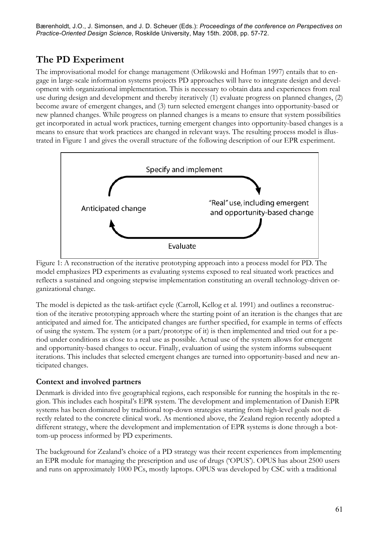# **The PD Experiment**

The improvisational model for change management (Orlikowski and Hofman 1997) entails that to engage in large-scale information systems projects PD approaches will have to integrate design and development with organizational implementation. This is necessary to obtain data and experiences from real use during design and development and thereby iteratively (1) evaluate progress on planned changes, (2) become aware of emergent changes, and (3) turn selected emergent changes into opportunity-based or new planned changes. While progress on planned changes is a means to ensure that system possibilities get incorporated in actual work practices, turning emergent changes into opportunity-based changes is a means to ensure that work practices are changed in relevant ways. The resulting process model is illustrated in Figure 1 and gives the overall structure of the following description of our EPR experiment.



Figure 1: A reconstruction of the iterative prototyping approach into a process model for PD. The model emphasizes PD experiments as evaluating systems exposed to real situated work practices and reflects a sustained and ongoing stepwise implementation constituting an overall technology-driven organizational change.

The model is depicted as the task-artifact cycle (Carroll, Kellog et al. 1991) and outlines a reconstruction of the iterative prototyping approach where the starting point of an iteration is the changes that are anticipated and aimed for. The anticipated changes are further specified, for example in terms of effects of using the system. The system (or a part/prototype of it) is then implemented and tried out for a period under conditions as close to a real use as possible. Actual use of the system allows for emergent and opportunity-based changes to occur. Finally, evaluation of using the system informs subsequent iterations. This includes that selected emergent changes are turned into opportunity-based and new anticipated changes.

## **Context and involved partners**

Denmark is divided into five geographical regions, each responsible for running the hospitals in the region. This includes each hospital's EPR system. The development and implementation of Danish EPR systems has been dominated by traditional top-down strategies starting from high-level goals not directly related to the concrete clinical work. As mentioned above, the Zealand region recently adopted a different strategy, where the development and implementation of EPR systems is done through a bottom-up process informed by PD experiments.

The background for Zealand's choice of a PD strategy was their recent experiences from implementing an EPR module for managing the prescription and use of drugs ('OPUS'). OPUS has about 2500 users and runs on approximately 1000 PCs, mostly laptops. OPUS was developed by CSC with a traditional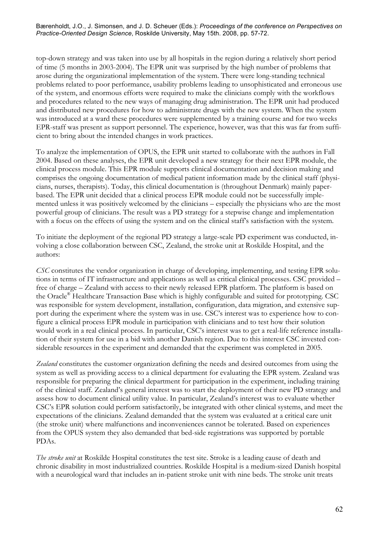top-down strategy and was taken into use by all hospitals in the region during a relatively short period of time (5 months in 2003-2004). The EPR unit was surprised by the high number of problems that arose during the organizational implementation of the system. There were long-standing technical problems related to poor performance, usability problems leading to unsophisticated and erroneous use of the system, and enormous efforts were required to make the clinicians comply with the workflows and procedures related to the new ways of managing drug administration. The EPR unit had produced and distributed new procedures for how to administrate drugs with the new system. When the system was introduced at a ward these procedures were supplemented by a training course and for two weeks EPR-staff was present as support personnel. The experience, however, was that this was far from sufficient to bring about the intended changes in work practices.

To analyze the implementation of OPUS, the EPR unit started to collaborate with the authors in Fall 2004. Based on these analyses, the EPR unit developed a new strategy for their next EPR module, the clinical process module. This EPR module supports clinical documentation and decision making and comprises the ongoing documentation of medical patient information made by the clinical staff (physicians, nurses, therapists). Today, this clinical documentation is (throughout Denmark) mainly paperbased. The EPR unit decided that a clinical process EPR module could not be successfully implemented unless it was positively welcomed by the clinicians – especially the physicians who are the most powerful group of clinicians. The result was a PD strategy for a stepwise change and implementation with a focus on the effects of using the system and on the clinical staff's satisfaction with the system.

To initiate the deployment of the regional PD strategy a large-scale PD experiment was conducted, involving a close collaboration between CSC, Zealand, the stroke unit at Roskilde Hospital, and the authors:

*CSC* constitutes the vendor organization in charge of developing, implementing, and testing EPR solutions in terms of IT infrastructure and applications as well as critical clinical processes. CSC provided – free of charge – Zealand with access to their newly released EPR platform. The platform is based on the Oracle® Healthcare Transaction Base which is highly configurable and suited for prototyping. CSC was responsible for system development, installation, configuration, data migration, and extensive support during the experiment where the system was in use. CSC's interest was to experience how to configure a clinical process EPR module in participation with clinicians and to test how their solution would work in a real clinical process. In particular, CSC's interest was to get a real-life reference installation of their system for use in a bid with another Danish region. Due to this interest CSC invested considerable resources in the experiment and demanded that the experiment was completed in 2005.

*Zealand* constitutes the customer organization defining the needs and desired outcomes from using the system as well as providing access to a clinical department for evaluating the EPR system. Zealand was responsible for preparing the clinical department for participation in the experiment, including training of the clinical staff. Zealand's general interest was to start the deployment of their new PD strategy and assess how to document clinical utility value. In particular, Zealand's interest was to evaluate whether CSC's EPR solution could perform satisfactorily, be integrated with other clinical systems, and meet the expectations of the clinicians. Zealand demanded that the system was evaluated at a critical care unit (the stroke unit) where malfunctions and inconveniences cannot be tolerated. Based on experiences from the OPUS system they also demanded that bed-side registrations was supported by portable PDAs.

*The stroke unit* at Roskilde Hospital constitutes the test site. Stroke is a leading cause of death and chronic disability in most industrialized countries. Roskilde Hospital is a medium-sized Danish hospital with a neurological ward that includes an in-patient stroke unit with nine beds. The stroke unit treats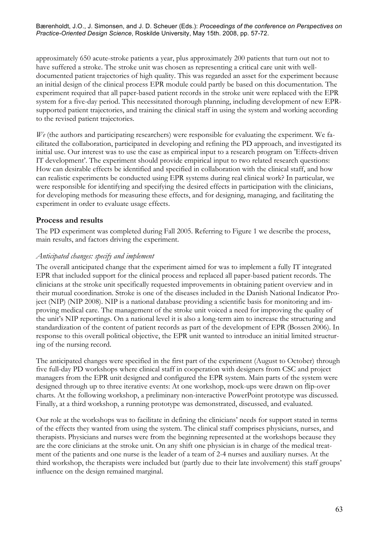approximately 650 acute-stroke patients a year, plus approximately 200 patients that turn out not to have suffered a stroke. The stroke unit was chosen as representing a critical care unit with welldocumented patient trajectories of high quality. This was regarded an asset for the experiment because an initial design of the clinical process EPR module could partly be based on this documentation. The experiment required that all paper-based patient records in the stroke unit were replaced with the EPR system for a five-day period. This necessitated thorough planning, including development of new EPRsupported patient trajectories, and training the clinical staff in using the system and working according to the revised patient trajectories.

*We* (the authors and participating researchers) were responsible for evaluating the experiment. We facilitated the collaboration, participated in developing and refining the PD approach, and investigated its initial use. Our interest was to use the case as empirical input to a research program on 'Effects-driven IT development'. The experiment should provide empirical input to two related research questions: How can desirable effects be identified and specified in collaboration with the clinical staff, and how can realistic experiments be conducted using EPR systems during real clinical work? In particular, we were responsible for identifying and specifying the desired effects in participation with the clinicians, for developing methods for measuring these effects, and for designing, managing, and facilitating the experiment in order to evaluate usage effects.

## **Process and results**

The PD experiment was completed during Fall 2005. Referring to Figure 1 we describe the process, main results, and factors driving the experiment.

#### *Anticipated changes: specify and implement*

The overall anticipated change that the experiment aimed for was to implement a fully IT integrated EPR that included support for the clinical process and replaced all paper-based patient records. The clinicians at the stroke unit specifically requested improvements in obtaining patient overview and in their mutual coordination. Stroke is one of the diseases included in the Danish National Indicator Project (NIP) (NIP 2008). NIP is a national database providing a scientific basis for monitoring and improving medical care. The management of the stroke unit voiced a need for improving the quality of the unit's NIP reportings. On a national level it is also a long-term aim to increase the structuring and standardization of the content of patient records as part of the development of EPR (Bossen 2006). In response to this overall political objective, the EPR unit wanted to introduce an initial limited structuring of the nursing record.

The anticipated changes were specified in the first part of the experiment (August to October) through five full-day PD workshops where clinical staff in cooperation with designers from CSC and project managers from the EPR unit designed and configured the EPR system. Main parts of the system were designed through up to three iterative events: At one workshop, mock-ups were drawn on flip-over charts. At the following workshop, a preliminary non-interactive PowerPoint prototype was discussed. Finally, at a third workshop, a running prototype was demonstrated, discussed, and evaluated.

Our role at the workshops was to facilitate in defining the clinicians' needs for support stated in terms of the effects they wanted from using the system. The clinical staff comprises physicians, nurses, and therapists. Physicians and nurses were from the beginning represented at the workshops because they are the core clinicians at the stroke unit. On any shift one physician is in charge of the medical treatment of the patients and one nurse is the leader of a team of 2-4 nurses and auxiliary nurses. At the third workshop, the therapists were included but (partly due to their late involvement) this staff groups' influence on the design remained marginal.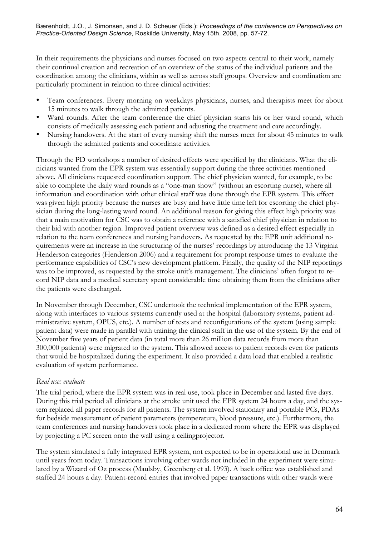In their requirements the physicians and nurses focused on two aspects central to their work, namely their continual creation and recreation of an overview of the status of the individual patients and the coordination among the clinicians, within as well as across staff groups. Overview and coordination are particularly prominent in relation to three clinical activities:

- Team conferences. Every morning on weekdays physicians, nurses, and therapists meet for about 15 minutes to walk through the admitted patients.
- Ward rounds. After the team conference the chief physician starts his or her ward round, which consists of medically assessing each patient and adjusting the treatment and care accordingly.
- Nursing handovers. At the start of every nursing shift the nurses meet for about 45 minutes to walk through the admitted patients and coordinate activities.

Through the PD workshops a number of desired effects were specified by the clinicians. What the clinicians wanted from the EPR system was essentially support during the three activities mentioned above. All clinicians requested coordination support. The chief physician wanted, for example, to be able to complete the daily ward rounds as a "one-man show" (without an escorting nurse), where all information and coordination with other clinical staff was done through the EPR system. This effect was given high priority because the nurses are busy and have little time left for escorting the chief physician during the long-lasting ward round. An additional reason for giving this effect high priority was that a main motivation for CSC was to obtain a reference with a satisfied chief physician in relation to their bid with another region. Improved patient overview was defined as a desired effect especially in relation to the team conferences and nursing handovers. As requested by the EPR unit additional requirements were an increase in the structuring of the nurses' recordings by introducing the 13 Virginia Henderson categories (Henderson 2006) and a requirement for prompt response times to evaluate the performance capabilities of CSC's new development platform. Finally, the quality of the NIP reportings was to be improved, as requested by the stroke unit's management. The clinicians' often forgot to record NIP data and a medical secretary spent considerable time obtaining them from the clinicians after the patients were discharged.

In November through December, CSC undertook the technical implementation of the EPR system, along with interfaces to various systems currently used at the hospital (laboratory systems, patient administrative system, OPUS, etc.). A number of tests and reconfigurations of the system (using sample patient data) were made in parallel with training the clinical staff in the use of the system. By the end of November five years of patient data (in total more than 26 million data records from more than 300,000 patients) were migrated to the system. This allowed access to patient records even for patients that would be hospitalized during the experiment. It also provided a data load that enabled a realistic evaluation of system performance.

## *Real use: evaluate*

The trial period, where the EPR system was in real use, took place in December and lasted five days. During this trial period all clinicians at the stroke unit used the EPR system 24 hours a day, and the system replaced all paper records for all patients. The system involved stationary and portable PCs, PDAs for bedside measurement of patient parameters (temperature, blood pressure, etc.). Furthermore, the team conferences and nursing handovers took place in a dedicated room where the EPR was displayed by projecting a PC screen onto the wall using a ceilingprojector.

The system simulated a fully integrated EPR system, not expected to be in operational use in Denmark until years from today. Transactions involving other wards not included in the experiment were simulated by a Wizard of Oz process (Maulsby, Greenberg et al. 1993). A back office was established and staffed 24 hours a day. Patient-record entries that involved paper transactions with other wards were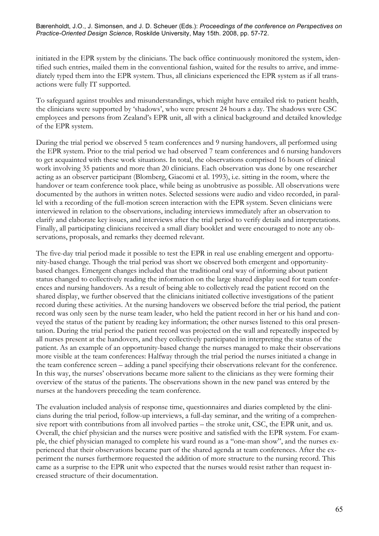initiated in the EPR system by the clinicians. The back office continuously monitored the system, identified such entries, mailed them in the conventional fashion, waited for the results to arrive, and immediately typed them into the EPR system. Thus, all clinicians experienced the EPR system as if all transactions were fully IT supported.

To safeguard against troubles and misunderstandings, which might have entailed risk to patient health, the clinicians were supported by 'shadows', who were present 24 hours a day. The shadows were CSC employees and persons from Zealand's EPR unit, all with a clinical background and detailed knowledge of the EPR system.

During the trial period we observed 5 team conferences and 9 nursing handovers, all performed using the EPR system. Prior to the trial period we had observed 7 team conferences and 6 nursing handovers to get acquainted with these work situations. In total, the observations comprised 16 hours of clinical work involving 35 patients and more than 20 clinicians. Each observation was done by one researcher acting as an observer participant (Blomberg, Giacomi et al. 1993), i.e. sitting in the room, where the handover or team conference took place, while being as unobtrusive as possible. All observations were documented by the authors in written notes. Selected sessions were audio and video recorded, in parallel with a recording of the full-motion screen interaction with the EPR system. Seven clinicians were interviewed in relation to the observations, including interviews immediately after an observation to clarify and elaborate key issues, and interviews after the trial period to verify details and interpretations. Finally, all participating clinicians received a small diary booklet and were encouraged to note any observations, proposals, and remarks they deemed relevant.

The five-day trial period made it possible to test the EPR in real use enabling emergent and opportunity-based change. Though the trial period was short we observed both emergent and opportunitybased changes. Emergent changes included that the traditional oral way of informing about patient status changed to collectively reading the information on the large shared display used for team conferences and nursing handovers. As a result of being able to collectively read the patient record on the shared display, we further observed that the clinicians initiated collective investigations of the patient record during these activities. At the nursing handovers we observed before the trial period, the patient record was only seen by the nurse team leader, who held the patient record in her or his hand and conveyed the status of the patient by reading key information; the other nurses listened to this oral presentation. During the trial period the patient record was projected on the wall and repeatedly inspected by all nurses present at the handovers, and they collectively participated in interpreting the status of the patient. As an example of an opportunity-based change the nurses managed to make their observations more visible at the team conferences: Halfway through the trial period the nurses initiated a change in the team conference screen – adding a panel specifying their observations relevant for the conference. In this way, the nurses' observations became more salient to the clinicians as they were forming their overview of the status of the patients. The observations shown in the new panel was entered by the nurses at the handovers preceding the team conference.

The evaluation included analysis of response time, questionnaires and diaries completed by the clinicians during the trial period, follow-up interviews, a full-day seminar, and the writing of a comprehensive report with contributions from all involved parties – the stroke unit, CSC, the EPR unit, and us. Overall, the chief physician and the nurses were positive and satisfied with the EPR system. For example, the chief physician managed to complete his ward round as a "one-man show", and the nurses experienced that their observations became part of the shared agenda at team conferences. After the experiment the nurses furthermore requested the addition of more structure to the nursing record. This came as a surprise to the EPR unit who expected that the nurses would resist rather than request increased structure of their documentation.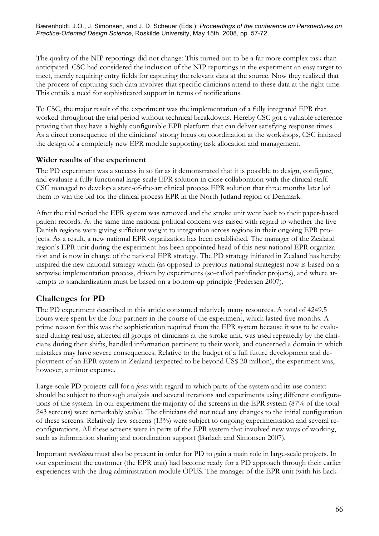The quality of the NIP reportings did not change: This turned out to be a far more complex task than anticipated. CSC had considered the inclusion of the NIP reportings in the experiment an easy target to meet, merely requiring entry fields for capturing the relevant data at the source. Now they realized that the process of capturing such data involves that specific clinicians attend to these data at the right time. This entails a need for sophisticated support in terms of notifications.

To CSC, the major result of the experiment was the implementation of a fully integrated EPR that worked throughout the trial period without technical breakdowns. Hereby CSC got a valuable reference proving that they have a highly configurable EPR platform that can deliver satisfying response times. As a direct consequence of the clinicians' strong focus on coordination at the workshops, CSC initiated the design of a completely new EPR module supporting task allocation and management.

## **Wider results of the experiment**

The PD experiment was a success in so far as it demonstrated that it is possible to design, configure, and evaluate a fully functional large-scale EPR solution in close collaboration with the clinical staff. CSC managed to develop a state-of-the-art clinical process EPR solution that three months later led them to win the bid for the clinical process EPR in the North Jutland region of Denmark.

After the trial period the EPR system was removed and the stroke unit went back to their paper-based patient records. At the same time national political concern was raised with regard to whether the five Danish regions were giving sufficient weight to integration across regions in their ongoing EPR projects. As a result, a new national EPR organization has been established. The manager of the Zealand region's EPR unit during the experiment has been appointed head of this new national EPR organization and is now in charge of the national EPR strategy. The PD strategy initiated in Zealand has hereby inspired the new national strategy which (as opposed to previous national strategies) now is based on a stepwise implementation process, driven by experiments (so-called pathfinder projects), and where attempts to standardization must be based on a bottom-up principle (Pedersen 2007).

## **Challenges for PD**

The PD experiment described in this article consumed relatively many resources. A total of 4249.5 hours were spent by the four partners in the course of the experiment, which lasted five months. A prime reason for this was the sophistication required from the EPR system because it was to be evaluated during real use, affected all groups of clinicians at the stroke unit, was used repeatedly by the clinicians during their shifts, handled information pertinent to their work, and concerned a domain in which mistakes may have severe consequences. Relative to the budget of a full future development and deployment of an EPR system in Zealand (expected to be beyond US\$ 20 million), the experiment was, however, a minor expense.

Large-scale PD projects call for a *focus* with regard to which parts of the system and its use context should be subject to thorough analysis and several iterations and experiments using different configurations of the system. In our experiment the majority of the screens in the EPR system (87% of the total 243 screens) were remarkably stable. The clinicians did not need any changes to the initial configuration of these screens. Relatively few screens (13%) were subject to ongoing experimentation and several reconfigurations. All these screens were in parts of the EPR system that involved new ways of working, such as information sharing and coordination support (Barlach and Simonsen 2007).

Important *conditions* must also be present in order for PD to gain a main role in large-scale projects. In our experiment the customer (the EPR unit) had become ready for a PD approach through their earlier experiences with the drug administration module OPUS. The manager of the EPR unit (with his back-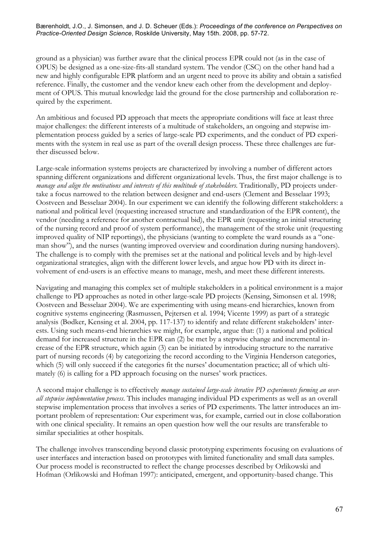ground as a physician) was further aware that the clinical process EPR could not (as in the case of OPUS) be designed as a one-size-fits-all standard system. The vendor (CSC) on the other hand had a new and highly configurable EPR platform and an urgent need to prove its ability and obtain a satisfied reference. Finally, the customer and the vendor knew each other from the development and deployment of OPUS. This mutual knowledge laid the ground for the close partnership and collaboration required by the experiment.

An ambitious and focused PD approach that meets the appropriate conditions will face at least three major challenges: the different interests of a multitude of stakeholders, an ongoing and stepwise implementation process guided by a series of large-scale PD experiments, and the conduct of PD experiments with the system in real use as part of the overall design process. These three challenges are further discussed below.

Large-scale information systems projects are characterized by involving a number of different actors spanning different organizations and different organizational levels. Thus, the first major challenge is to *manage and align the motivations and interests of this multitude of stakeholders*. Traditionally, PD projects undertake a focus narrowed to the relation between designer and end-users (Clement and Besselaar 1993; Oostveen and Besselaar 2004). In our experiment we can identify the following different stakeholders: a national and political level (requesting increased structure and standardization of the EPR content), the vendor (needing a reference for another contractual bid), the EPR unit (requesting an initial structuring of the nursing record and proof of system performance), the management of the stroke unit (requesting improved quality of NIP reportings), the physicians (wanting to complete the ward rounds as a "oneman show"), and the nurses (wanting improved overview and coordination during nursing handovers). The challenge is to comply with the premises set at the national and political levels and by high-level organizational strategies, align with the different lower levels, and argue how PD with its direct involvement of end-users is an effective means to manage, mesh, and meet these different interests.

Navigating and managing this complex set of multiple stakeholders in a political environment is a major challenge to PD approaches as noted in other large-scale PD projects (Kensing, Simonsen et al. 1998; Oostveen and Besselaar 2004). We are experimenting with using means-end hierarchies, known from cognitive systems engineering (Rasmussen, Pejtersen et al. 1994; Vicente 1999) as part of a strategic analysis (Bødker, Kensing et al. 2004, pp. 117-137) to identify and relate different stakeholders' interests. Using such means-end hierarchies we might, for example, argue that: (1) a national and political demand for increased structure in the EPR can (2) be met by a stepwise change and incremental increase of the EPR structure, which again (3) can be initiated by introducing structure to the narrative part of nursing records (4) by categorizing the record according to the Virginia Henderson categories, which (5) will only succeed if the categories fit the nurses' documentation practice; all of which ultimately (6) is calling for a PD approach focusing on the nurses' work practices.

A second major challenge is to effectively *manage sustained large-scale iterative PD experiments forming an overall stepwise implementation process*. This includes managing individual PD experiments as well as an overall stepwise implementation process that involves a series of PD experiments. The latter introduces an important problem of representation: Our experiment was, for example, carried out in close collaboration with one clinical speciality. It remains an open question how well the our results are transferable to similar specialities at other hospitals.

The challenge involves transcending beyond classic prototyping experiments focusing on evaluations of user interfaces and interaction based on prototypes with limited functionality and small data samples. Our process model is reconstructed to reflect the change processes described by Orlikowski and Hofman (Orlikowski and Hofman 1997): anticipated, emergent, and opportunity-based change. This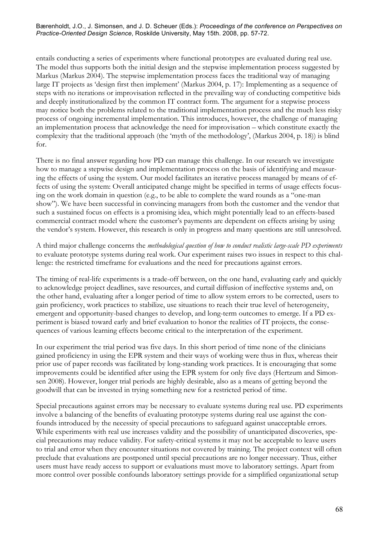entails conducting a series of experiments where functional prototypes are evaluated during real use. The model thus supports both the initial design and the stepwise implementation process suggested by Markus (Markus 2004). The stepwise implementation process faces the traditional way of managing large IT projects as 'design first then implement' (Markus 2004, p. 17): Implementing as a sequence of steps with no iterations or improvisation reflected in the prevailing way of conducting competitive bids and deeply institutionalized by the common IT contract form. The argument for a stepwise process may notice both the problems related to the traditional implementation process and the much less risky process of ongoing incremental implementation. This introduces, however, the challenge of managing an implementation process that acknowledge the need for improvisation – which constitute exactly the complexity that the traditional approach (the 'myth of the methodology', (Markus 2004, p. 18)) is blind for.

There is no final answer regarding how PD can manage this challenge. In our research we investigate how to manage a stepwise design and implementation process on the basis of identifying and measuring the effects of using the system. Our model facilitates an iterative process managed by means of effects of using the system: Overall anticipated change might be specified in terms of usage effects focusing on the work domain in question (e.g., to be able to complete the ward rounds as a "one-man show"). We have been successful in convincing managers from both the customer and the vendor that such a sustained focus on effects is a promising idea, which might potentially lead to an effects-based commercial contract model where the customer's payments are dependent on effects arising by using the vendor's system. However, this research is only in progress and many questions are still unresolved.

A third major challenge concerns the *methodological question of how to conduct realistic large-scale PD experiments* to evaluate prototype systems during real work. Our experiment raises two issues in respect to this challenge: the restricted timeframe for evaluations and the need for precautions against errors.

The timing of real-life experiments is a trade-off between, on the one hand, evaluating early and quickly to acknowledge project deadlines, save resources, and curtail diffusion of ineffective systems and, on the other hand, evaluating after a longer period of time to allow system errors to be corrected, users to gain proficiency, work practices to stabilize, use situations to reach their true level of heterogeneity, emergent and opportunity-based changes to develop, and long-term outcomes to emerge. If a PD experiment is biased toward early and brief evaluation to honor the realities of IT projects, the consequences of various learning effects become critical to the interpretation of the experiment.

In our experiment the trial period was five days. In this short period of time none of the clinicians gained proficiency in using the EPR system and their ways of working were thus in flux, whereas their prior use of paper records was facilitated by long-standing work practices. It is encouraging that some improvements could be identified after using the EPR system for only five days (Hertzum and Simonsen 2008). However, longer trial periods are highly desirable, also as a means of getting beyond the goodwill that can be invested in trying something new for a restricted period of time.

Special precautions against errors may be necessary to evaluate systems during real use. PD experiments involve a balancing of the benefits of evaluating prototype systems during real use against the confounds introduced by the necessity of special precautions to safeguard against unacceptable errors. While experiments with real use increases validity and the possibility of unanticipated discoveries, special precautions may reduce validity. For safety-critical systems it may not be acceptable to leave users to trial and error when they encounter situations not covered by training. The project context will often preclude that evaluations are postponed until special precautions are no longer necessary. Thus, either users must have ready access to support or evaluations must move to laboratory settings. Apart from more control over possible confounds laboratory settings provide for a simplified organizational setup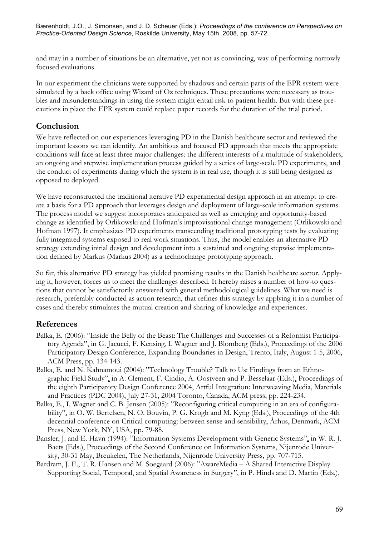and may in a number of situations be an alternative, yet not as convincing, way of performing narrowly focused evaluations.

In our experiment the clinicians were supported by shadows and certain parts of the EPR system were simulated by a back office using Wizard of Oz techniques. These precautions were necessary as troubles and misunderstandings in using the system might entail risk to patient health. But with these precautions in place the EPR system could replace paper records for the duration of the trial period.

## **Conclusion**

We have reflected on our experiences leveraging PD in the Danish healthcare sector and reviewed the important lessons we can identify. An ambitious and focused PD approach that meets the appropriate conditions will face at least three major challenges: the different interests of a multitude of stakeholders, an ongoing and stepwise implementation process guided by a series of large-scale PD experiments, and the conduct of experiments during which the system is in real use, though it is still being designed as opposed to deployed.

We have reconstructed the traditional iterative PD experimental design approach in an attempt to create a basis for a PD approach that leverages design and deployment of large-scale information systems. The process model we suggest incorporates anticipated as well as emerging and opportunity-based change as identified by Orlikowski and Hofman's improvisational change management (Orlikowski and Hofman 1997). It emphasizes PD experiments transcending traditional prototyping tests by evaluating fully integrated systems exposed to real work situations. Thus, the model enables an alternative PD strategy extending initial design and development into a sustained and ongoing stepwise implementation defined by Markus (Markus 2004) as a technochange prototyping approach.

So far, this alternative PD strategy has yielded promising results in the Danish healthcare sector. Applying it, however, forces us to meet the challenges described. It hereby raises a number of how-to questions that cannot be satisfactorily answered with general methodological guidelines. What we need is research, preferably conducted as action research, that refines this strategy by applying it in a number of cases and thereby stimulates the mutual creation and sharing of knowledge and experiences.

# **References**

- Balka, E. (2006): "Inside the Belly of the Beast: The Challenges and Successes of a Reformist Participatory Agenda", in G. Jacucci, F. Kensing, I. Wagner and J. Blomberg (Eds.), Proceedings of the 2006 Participatory Design Conference, Expanding Boundaries in Design, Trento, Italy, August 1-5, 2006, ACM Press, pp. 134-143.
- Balka, E. and N. Kahnamoui (2004): "Technology Trouble? Talk to Us: Findings from an Ethnographic Field Study", in A. Clement, F. Cindio, A. Oostveen and P. Besselaar (Eds.), Proceedings of the eighth Participatory Design Conference 2004, Artful Integration: Interweaving Media, Materials and Practices (PDC 2004), July 27-31, 2004 Toronto, Canada, ACM press, pp. 224-234.
- Balka, E., I. Wagner and C. B. Jensen (2005): "Reconfiguring critical computing in an era of configurability", in O. W. Bertelsen, N. O. Bouvin, P. G. Krogh and M. Kyng (Eds.), Proceedings of the 4th decennial conference on Critical computing: between sense and sensibility, Århus, Denmark, ACM Press, New York, NY, USA, pp. 79-88.
- Bansler, J. and E. Havn (1994): "Information Systems Development with Generic Systems", in W. R. J. Baets (Eds.), Proceedings of the Second Conference on Information Systems, Nijenrode University, 30-31 May, Breukelen, The Netherlands, Nijenrode University Press, pp. 707-715.
- Bardram, J. E., T. R. Hansen and M. Soegaard (2006): "AwareMedia A Shared Interactive Display Supporting Social, Temporal, and Spatial Awareness in Surgery", in P. Hinds and D. Martin (Eds.),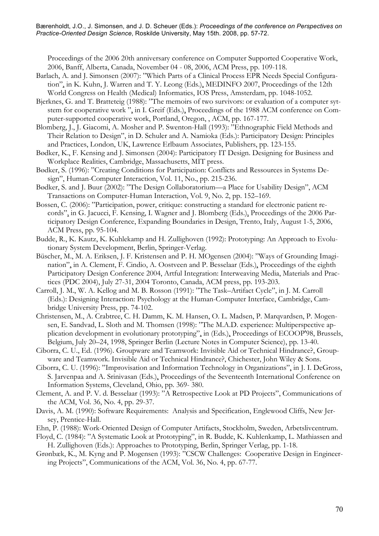Proceedings of the 2006 20th anniversary conference on Computer Supported Cooperative Work, 2006, Banff, Alberta, Canada, November 04 - 08, 2006, ACM Press, pp. 109-118.

- Barlach, A. and J. Simonsen (2007): "Which Parts of a Clinical Process EPR Needs Special Configuration", in K. Kuhn, J. Warren and T. Y. Leong (Eds.), MEDINFO 2007, Proceedings of the 12th World Congress on Health (Medical) Informatics, IOS Press, Amsterdam, pp. 1048-1052.
- Bjerknes, G. and T. Bratteteig (1988): "The memoirs of two survivors: or evaluation of a computer sytstem for cooperative work ", in I. Greif (Eds.), Proceedings of the 1988 ACM conference on Computer-supported cooperative work, Portland, Oregon, , ACM, pp. 167-177.
- Blomberg, J., J. Giacomi, A. Mosher and P. Swenton-Hall (1993): "Ethnographic Field Methods and Their Relation to Design", in D. Schuler and A. Namioka (Eds.): Participatory Design: Principles and Practices, London, UK, Lawrence Erlbaum Associates, Publishers, pp. 123-155.
- Bødker, K., F. Kensing and J. Simonsen (2004): Participatory IT Design. Designing for Business and Workplace Realities, Cambridge, Massachusetts, MIT press.
- Bødker, S. (1996): "Creating Conditions for Participation: Conflicts and Ressources in Systems Design", Human-Computer Interaction, Vol. 11, No., pp. 215-236.
- Bødker, S. and J. Buur (2002): "The Design Collaboratorium—a Place for Usability Design", ACM Transactions on Computer-Human Interaction, Vol. 9, No. 2, pp. 152–169.
- Bossen, C. (2006): "Participation, power, critique: constructing a standard for electronic patient records", in G. Jacucci, F. Kensing, I. Wagner and J. Blomberg (Eds.), Proceedings of the 2006 Participatory Design Conference, Expanding Boundaries in Design, Trento, Italy, August 1-5, 2006, ACM Press, pp. 95-104.
- Budde, R., K. Kautz, K. Kuhlekamp and H. Zullighoven (1992): Prototyping: An Approach to Evolutionary System Development, Berlin, Springer-Verlag.
- Büscher, M., M. A. Eriksen, J. F. Kristensen and P. H. MOgensen (2004): "Ways of Grounding Imagination", in A. Clement, F. Cindio, A. Oostveen and P. Besselaar (Eds.), Proceedings of the eighth Participatory Design Conference 2004, Artful Integration: Interweaving Media, Materials and Practices (PDC 2004), July 27-31, 2004 Toronto, Canada, ACM press, pp. 193-203.
- Carroll, J. M., W. A. Kellog and M. B. Rosson (1991): "The Task–Artifact Cycle", in J. M. Carroll (Eds.): Designing Interaction: Psychology at the Human-Computer Interface, Cambridge, Cambridge University Press, pp. 74-102.
- Christensen, M., A. Crabtree, C. H. Damm, K. M. Hansen, O. L. Madsen, P. Marqvardsen, P. Mogensen, E. Sandvad, L. Sloth and M. Thomsen (1998): "The M.A.D. experience: Multiperspective application development in evolutionary prototyping", in (Eds.), Proceedings of ECOOP'98, Brussels, Belgium, July 20–24, 1998, Springer Berlin (Lecture Notes in Computer Science), pp. 13-40.
- Ciborra, C. U., Ed. (1996). Groupware and Teamwork: Invisible Aid or Technical Hindrance?, Groupware and Teamwork. Invisible Aid or Technical Hindrance?, Chichester, John Wiley & Sons.
- Ciborra, C. U. (1996): "Improvisation and Information Technology in Organizations", in J. I. DeGross, S. Jarvenpaa and A. Srinivasan (Eds.), Proceedings of the Seventeenth International Conference on Information Systems, Cleveland, Ohio, pp. 369- 380.
- Clement, A. and P. V. d. Besselaar (1993): "A Retrospective Look at PD Projects", Communications of the ACM, Vol. 36, No. 4, pp. 29-37.
- Davis, A. M. (1990): Software Requirements: Analysis and Specification, Englewood Cliffs, New Jersey, Prentice-Hall.
- Ehn, P. (1988): Work-Oriented Design of Computer Artifacts, Stockholm, Sweden, Arbetslivcentrum.
- Floyd, C. (1984): "A Systematic Look at Prototyping", in R. Budde, K. Kuhlenkamp, L. Mathiassen and H. Zullighoven (Eds.): Approaches to Prototyping, Berlin, Springer Verlag, pp. 1-18.
- Grønbæk, K., M. Kyng and P. Mogensen (1993): "CSCW Challenges: Cooperative Design in Engineering Projects", Communications of the ACM, Vol. 36, No. 4, pp. 67-77.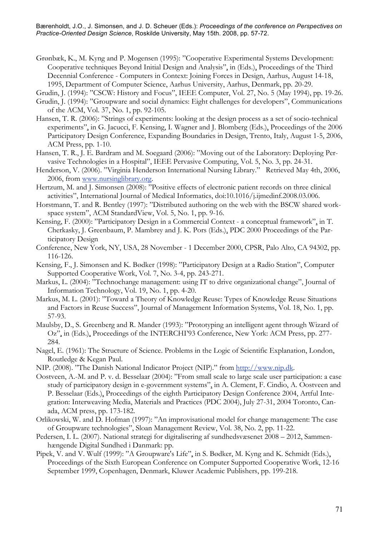- Grønbæk, K., M. Kyng and P. Mogensen (1995): "Cooperative Experimental Systems Development: Cooperative techniques Beyond Initial Design and Analysis", in (Eds.), Proceedings of the Third Decennial Conference - Computers in Context: Joining Forces in Design, Aarhus, August 14-18, 1995, Department of Computer Science, Aarhus University, Aarhus, Denmark, pp. 20-29.
- Grudin, J. (1994): "CSCW: History and Focus", IEEE Computer, Vol. 27, No. 5 (May 1994), pp. 19-26.
- Grudin, J. (1994): "Groupware and social dynamics: Eight challenges for developers", Communications of the ACM, Vol. 37, No. 1, pp. 92-105.
- Hansen, T. R. (2006): "Strings of experiments: looking at the design process as a set of socio-technical experiments", in G. Jacucci, F. Kensing, I. Wagner and J. Blomberg (Eds.), Proceedings of the 2006 Participatory Design Conference, Expanding Boundaries in Design, Trento, Italy, August 1-5, 2006, ACM Press, pp. 1-10.
- Hansen, T. R., J. E. Bardram and M. Soegaard (2006): "Moving out of the Laboratory: Deploying Pervasive Technologies in a Hospital", IEEE Pervasive Computing, Vol. 5, No. 3, pp. 24-31.
- Henderson, V. (2006). "Virginia Henderson International Nursing Library." Retrieved May 4th, 2006, 2006, from www.nursinglibrary.org.
- Hertzum, M. and J. Simonsen (2008): "Positive effects of electronic patient records on three clinical activities", International Journal of Medical Informatics, doi:10.1016/j.ijmedinf.2008.03.006.
- Horstmann, T. and R. Bentley (1997): "Distributed authoring on the web with the BSCW shared workspace system", ACM StandardView, Vol. 5, No. 1, pp. 9-16.
- Kensing, F. (2000): "Participatory Design in a Commercial Context a conceptual framework", in T. Cherkasky, J. Greenbaum, P. Mambrey and J. K. Pors (Eds.), PDC 2000 Proceedings of the Participatory Design
- Conference, New York, NY, USA, 28 November 1 December 2000, CPSR, Palo Alto, CA 94302, pp. 116-126.
- Kensing, F., J. Simonsen and K. Bødker (1998): "Participatory Design at a Radio Station", Computer Supported Cooperative Work, Vol. 7, No. 3-4, pp. 243-271.
- Markus, L. (2004): "Technochange management: using IT to drive organizational change", Journal of Information Technology, Vol. 19, No. 1, pp. 4-20.
- Markus, M. L. (2001): "Toward a Theory of Knowledge Reuse: Types of Knowledge Reuse Situations and Factors in Reuse Success", Journal of Management Information Systems, Vol. 18, No. 1, pp. 57-93.
- Maulsby, D., S. Greenberg and R. Mander (1993): "Prototyping an intelligent agent through Wizard of Oz", in (Eds.), Proceedings of the INTERCHI'93 Conference, New York: ACM Press, pp. 277- 284.
- Nagel, E. (1961): The Structure of Science. Problems in the Logic of Scientific Explanation, London, Routledge & Kegan Paul.
- NIP. (2008). "The Danish National Indicator Project (NIP)." from http://www.nip.dk.
- Oostveen, A.-M. and P. v. d. Besselaar (2004): "From small scale to large scale user participation: a case study of participatory design in e-government systems", in A. Clement, F. Cindio, A. Oostveen and P. Besselaar (Eds.), Proceedings of the eighth Participatory Design Conference 2004, Artful Integration: Interweaving Media, Materials and Practices (PDC 2004), July 27-31, 2004 Toronto, Canada, ACM press, pp. 173-182.
- Orlikowski, W. and D. Hofman (1997): "An improvisational model for change management: The case of Groupware technologies", Sloan Management Review, Vol. 38, No. 2, pp. 11-22.
- Pedersen, I. L. (2007). National strategi for digitalisering af sundhedsvæsenet 2008 2012, Sammenhængende Digital Sundhed i Danmark: pp.
- Pipek, V. and V. Wulf (1999): "A Groupware's Life", in S. Bødker, M. Kyng and K. Schmidt (Eds.), Proceedings of the Sixth European Conference on Computer Supported Cooperative Work, 12-16 September 1999, Copenhagen, Denmark, Kluwer Academic Publishers, pp. 199-218.